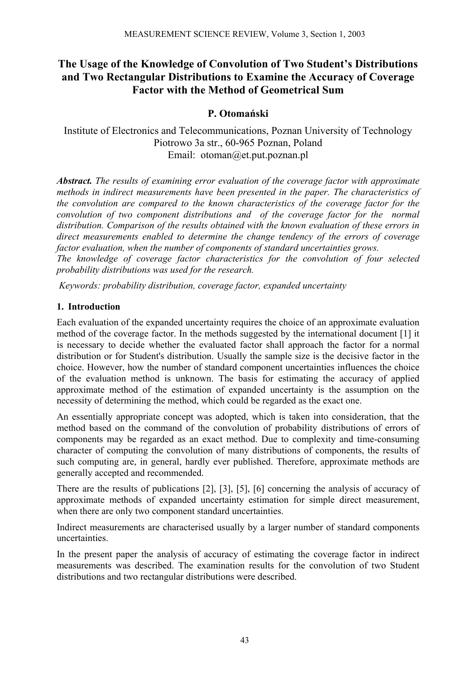# **The Usage of the Knowledge of Convolution of Two Student's Distributions and Two Rectangular Distributions to Examine the Accuracy of Coverage Factor with the Method of Geometrical Sum**

## **P. Otomański**

Institute of Electronics and Telecommunications, Poznan University of Technology Piotrowo 3a str., 60-965 Poznan, Poland Email: otoman@et.put.poznan.pl

*Abstract. The results of examining error evaluation of the coverage factor with approximate methods in indirect measurements have been presented in the paper. The characteristics of the convolution are compared to the known characteristics of the coverage factor for the convolution of two component distributions and of the coverage factor for the normal distribution. Comparison of the results obtained with the known evaluation of these errors in direct measurements enabled to determine the change tendency of the errors of coverage factor evaluation, when the number of components of standard uncertainties grows.* 

*The knowledge of coverage factor characteristics for the convolution of four selected probability distributions was used for the research.* 

 *Keywords: probability distribution, coverage factor, expanded uncertainty* 

## **1. Introduction**

Each evaluation of the expanded uncertainty requires the choice of an approximate evaluation method of the coverage factor. In the methods suggested by the international document [1] it is necessary to decide whether the evaluated factor shall approach the factor for a normal distribution or for Student's distribution. Usually the sample size is the decisive factor in the choice. However, how the number of standard component uncertainties influences the choice of the evaluation method is unknown. The basis for estimating the accuracy of applied approximate method of the estimation of expanded uncertainty is the assumption on the necessity of determining the method, which could be regarded as the exact one.

An essentially appropriate concept was adopted, which is taken into consideration, that the method based on the command of the convolution of probability distributions of errors of components may be regarded as an exact method. Due to complexity and time-consuming character of computing the convolution of many distributions of components, the results of such computing are, in general, hardly ever published. Therefore, approximate methods are generally accepted and recommended.

There are the results of publications [2], [3], [5], [6] concerning the analysis of accuracy of approximate methods of expanded uncertainty estimation for simple direct measurement, when there are only two component standard uncertainties.

Indirect measurements are characterised usually by a larger number of standard components uncertainties.

In the present paper the analysis of accuracy of estimating the coverage factor in indirect measurements was described. The examination results for the convolution of two Student distributions and two rectangular distributions were described.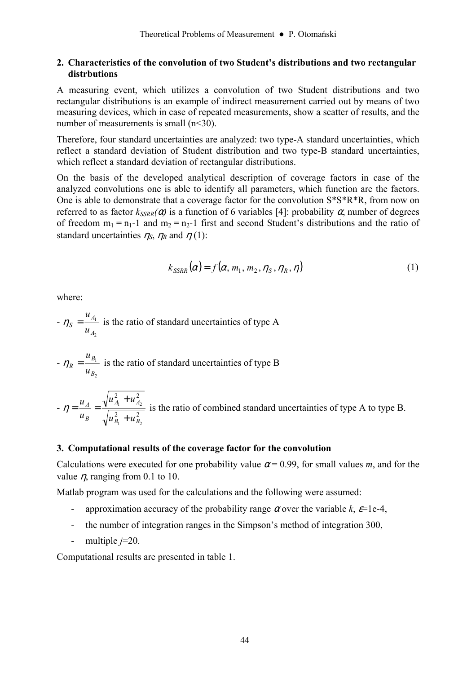#### **2. Characteristics of the convolution of two Student's distributions and two rectangular distrbutions**

A measuring event, which utilizes a convolution of two Student distributions and two rectangular distributions is an example of indirect measurement carried out by means of two measuring devices, which in case of repeated measurements, show a scatter of results, and the number of measurements is small (n<30).

Therefore, four standard uncertainties are analyzed: two type-A standard uncertainties, which reflect a standard deviation of Student distribution and two type-B standard uncertainties, which reflect a standard deviation of rectangular distributions.

On the basis of the developed analytical description of coverage factors in case of the analyzed convolutions one is able to identify all parameters, which function are the factors. One is able to demonstrate that a coverage factor for the convolution S\*S\*R\*R, from now on referred to as factor  $k_{SSRR}(\alpha)$  is a function of 6 variables [4]: probability  $\alpha$ , number of degrees of freedom  $m_1 = n_1-1$  and  $m_2 = n_2-1$  first and second Student's distributions and the ratio of standard uncertainties  $\eta_s$ ,  $\eta_R$  and  $\eta$  (1):

$$
k_{SSRR}(\alpha) = f(\alpha, m_1, m_2, \eta_S, \eta_R, \eta)
$$
\n(1)

where:

- 
$$
\eta_S = \frac{u_{A_1}}{u_{A_2}}
$$
 is the ratio of standard uncertainties of type A

- 
$$
\eta_R = \frac{u_{B_1}}{u_{B_2}}
$$
 is the ratio of standard uncertainties of type B

 $-\eta = \frac{u_A}{u_B} = \frac{\sqrt{a_1} - a_2}{\sqrt{a_1^2 + a_2^2}}$ 2  $\ldots$ <sup>2</sup>  $\mathbf{p}_1$   $\mathbf{p}_2$  $A_1$   $A_2$  $B_1$  <sup>+</sup>  $\mu$ <sub>B</sub>  $A_1$  **+**  $\mu_A$ *B A*  $u_R^2$  +  $u$  $u_{A_1}^2 + u$ *u u* + +  $\eta = \frac{u_A}{\sqrt{1 - \frac{v_{A_1}}{c_1}}}$  is the ratio of combined standard uncertainties of type A to type B.

#### **3. Computational results of the coverage factor for the convolution**

Calculations were executed for one probability value  $\alpha$  = 0.99, for small values *m*, and for the value  $\eta$ , ranging from 0.1 to 10.

Matlab program was used for the calculations and the following were assumed:

- approximation accuracy of the probability range  $\alpha$  over the variable  $k$ ,  $\varepsilon$ =1e-4,
- the number of integration ranges in the Simpson's method of integration 300,
- multiple *j*=20.

Computational results are presented in table 1.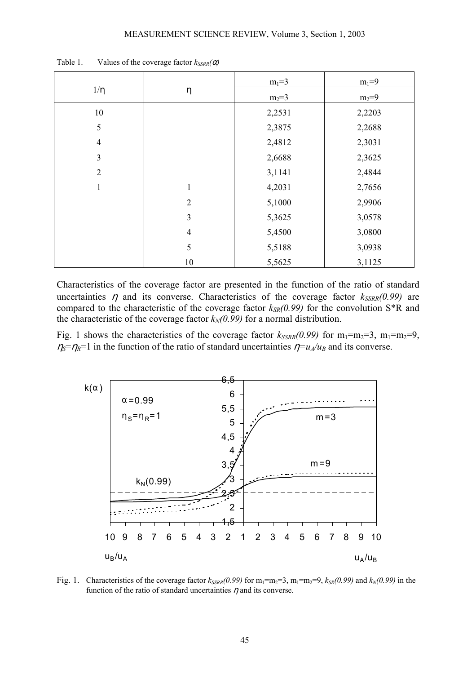| $1/\eta$       | η              | $m_1 = 3$ | $m_1 = 9$ |
|----------------|----------------|-----------|-----------|
|                |                | $m_2 = 3$ | $m_2 = 9$ |
| 10             |                | 2,2531    | 2,2203    |
| 5              |                | 2,3875    | 2,2688    |
| $\overline{4}$ |                | 2,4812    | 2,3031    |
| $\mathfrak{Z}$ |                | 2,6688    | 2,3625    |
| $\overline{2}$ |                | 3,1141    | 2,4844    |
| $\mathbf{1}$   | $\mathbf{1}$   | 4,2031    | 2,7656    |
|                | $\overline{2}$ | 5,1000    | 2,9906    |
|                | $\overline{3}$ | 5,3625    | 3,0578    |
|                | $\overline{4}$ | 5,4500    | 3,0800    |
|                | 5              | 5,5188    | 3,0938    |
|                | 10             | 5,5625    | 3,1125    |

Table 1. Values of the coverage factor  $k_{SSRR}(\alpha)$ 

Characteristics of the coverage factor are presented in the function of the ratio of standard uncertainties  $\eta$  and its converse. Characteristics of the coverage factor  $k_{SSRR}(0.99)$  are compared to the characteristic of the coverage factor  $k_{SR}(0.99)$  for the convolution S<sup>\*R</sup> and the characteristic of the coverage factor  $k_N(0.99)$  for a normal distribution.

Fig. 1 shows the characteristics of the coverage factor  $k_{SSRR}(0.99)$  for m<sub>1</sub>=m<sub>2</sub>=3, m<sub>1</sub>=m<sub>2</sub>=9,  $\eta_s = \eta_R = 1$  in the function of the ratio of standard uncertainties  $\eta = u_A/u_B$  and its converse.



Fig. 1. Characteristics of the coverage factor  $k_{SSRR}(0.99)$  for  $m_1=m_2=3$ ,  $m_1=m_2=9$ ,  $k_{SR}(0.99)$  and  $k_N(0.99)$  in the function of the ratio of standard uncertainties  $\eta$  and its converse.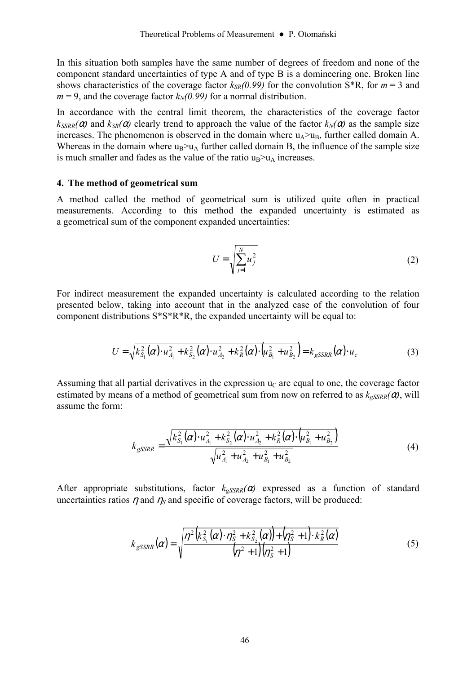In this situation both samples have the same number of degrees of freedom and none of the component standard uncertainties of type A and of type B is a domineering one. Broken line shows characteristics of the coverage factor  $k_{SR}(0.99)$  for the convolution S<sup>\*</sup>R, for  $m = 3$  and  $m = 9$ , and the coverage factor  $k_N(0.99)$  for a normal distribution.

In accordance with the central limit theorem, the characteristics of the coverage factor  $k_{SSRR}(\alpha)$  and  $k_{SR}(\alpha)$  clearly trend to approach the value of the factor  $k_N(\alpha)$  as the sample size increases. The phenomenon is observed in the domain where  $u_A > u_B$ , further called domain A. Whereas in the domain where  $u_B > u_A$  further called domain B, the influence of the sample size is much smaller and fades as the value of the ratio  $u_B > u_A$  increases.

#### **4. The method of geometrical sum**

A method called the method of geometrical sum is utilized quite often in practical measurements. According to this method the expanded uncertainty is estimated as a geometrical sum of the component expanded uncertainties:

$$
U = \sqrt{\sum_{j=1}^{N} u_j^2}
$$
 (2)

For indirect measurement the expanded uncertainty is calculated according to the relation presented below, taking into account that in the analyzed case of the convolution of four component distributions S\*S\*R\*R, the expanded uncertainty will be equal to:

$$
U = \sqrt{k_{S_1}^2(\alpha) \cdot u_{A_1}^2 + k_{S_2}^2(\alpha) \cdot u_{A_2}^2 + k_R^2(\alpha) \cdot (u_{B_1}^2 + u_{B_2}^2)} = k_{gSSRR}(\alpha) \cdot u_c
$$
 (3)

Assuming that all partial derivatives in the expression  $u<sub>C</sub>$  are equal to one, the coverage factor estimated by means of a method of geometrical sum from now on referred to as  $k_{gSSRR}(\alpha)$ , will assume the form:

$$
k_{gSSRR} = \frac{\sqrt{k_{S_1}^2(\alpha) \cdot u_{A_1}^2 + k_{S_2}^2(\alpha) \cdot u_{A_2}^2 + k_R^2(\alpha) \cdot (u_{B_1}^2 + u_{B_2}^2)}}{\sqrt{u_{A_1}^2 + u_{A_2}^2 + u_{B_1}^2 + u_{B_2}^2}}
$$
(4)

After appropriate substitutions, factor  $k_{gSSRR}(\alpha)$  expressed as a function of standard uncertainties ratios  $\eta$  and  $\eta_s$  and specific of coverage factors, will be produced:

$$
k_{gSSRR}(\alpha) = \sqrt{\frac{\eta^2 \left(k_{S_1}^2(\alpha) \cdot \eta_S^2 + k_{S_2}^2(\alpha)\right) + \left(\eta_S^2 + 1\right) \cdot k_R^2(\alpha)}{\left(\eta^2 + 1\right)\left(\eta_S^2 + 1\right)}}
$$
(5)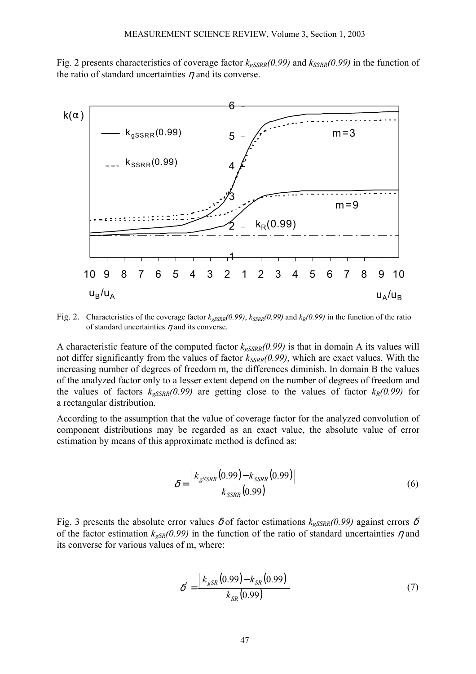Fig. 2 presents characteristics of coverage factor  $k_{gSSRR}(0.99)$  and  $k_{SSRR}(0.99)$  in the function of the ratio of standard uncertainties  $\eta$  and its converse.



Fig. 2. Characteristics of the coverage factor  $k_{gSSRR}(0.99)$ ,  $k_{SSRR}(0.99)$  and  $k_R(0.99)$  in the function of the ratio of standard uncertainties  $\eta$  and its converse.

A characteristic feature of the computed factor  $k_{gSSRR}(0.99)$  is that in domain A its values will not differ significantly from the values of factor  $k_{SSRR}(0.99)$ , which are exact values. With the increasing number of degrees of freedom m, the differences diminish. In domain B the values of the analyzed factor only to a lesser extent depend on the number of degrees of freedom and the values of factors  $k_{gSSRR}(0.99)$  are getting close to the values of factor  $k_R(0.99)$  for a rectangular distribution.

According to the assumption that the value of coverage factor for the analyzed convolution of component distributions may be regarded as an exact value, the absolute value of error estimation by means of this approximate method is defined as:

$$
\delta = \frac{k_{gSSRR}(0.99) - k_{SSRR}(0.99)}{k_{SSRR}(0.99)}
$$
(6)

Fig. 3 presents the absolute error values  $\delta$  of factor estimations  $k_{gSSRR}(0.99)$  against errors  $\delta$ <sup>'</sup> of the factor estimation  $k_{gSR}(0.99)$  in the function of the ratio of standard uncertainties  $\eta$  and its converse for various values of m, where:

$$
\delta' = \frac{k_{\rm gSR}(0.99) - k_{SR}(0.99)}{k_{SR}(0.99)}
$$
\n(7)